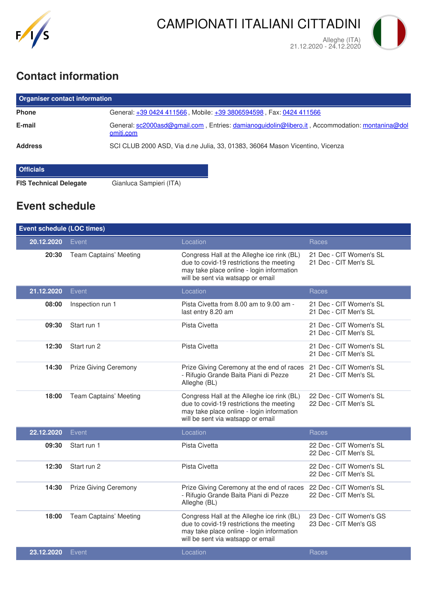

## **Contact information**

| <b>Organiser contact information</b> |                                                                                                             |  |  |  |
|--------------------------------------|-------------------------------------------------------------------------------------------------------------|--|--|--|
| <b>Phone</b>                         | General: +39 0424 411566, Mobile: +39 3806594598, Fax: 0424 411566                                          |  |  |  |
| E-mail                               | General: sc2000asd@gmail.com, Entries: damianoguidolin@libero.it, Accommodation: montanina@dol<br>omiti.com |  |  |  |
| <b>Address</b>                       | SCI CLUB 2000 ASD, Via d.ne Julia, 33, 01383, 36064 Mason Vicentino, Vicenza                                |  |  |  |
| <b>Officials</b>                     |                                                                                                             |  |  |  |

**FIS Technical Delegate** Gianluca Sampieri (ITA)

## **Event schedule**

| <b>Event schedule (LOC times)</b> |                              |                                                                                                                                                                          |                                                  |  |  |
|-----------------------------------|------------------------------|--------------------------------------------------------------------------------------------------------------------------------------------------------------------------|--------------------------------------------------|--|--|
| 20.12.2020                        | Event                        | Location                                                                                                                                                                 | Races                                            |  |  |
| 20:30                             | Team Captains' Meeting       | Congress Hall at the Alleghe ice rink (BL)<br>due to covid-19 restrictions the meeting<br>may take place online - login information<br>will be sent via watsapp or email | 21 Dec - CIT Women's SL<br>21 Dec - CIT Men's SL |  |  |
| 21.12.2020                        | Event                        | Location                                                                                                                                                                 | Races                                            |  |  |
| 08:00                             | Inspection run 1             | Pista Civetta from 8.00 am to 9.00 am -<br>last entry 8.20 am                                                                                                            | 21 Dec - CIT Women's SL<br>21 Dec - CIT Men's SL |  |  |
| 09:30                             | Start run 1                  | Pista Civetta                                                                                                                                                            | 21 Dec - CIT Women's SL<br>21 Dec - CIT Men's SL |  |  |
| 12:30                             | Start run 2                  | Pista Civetta                                                                                                                                                            | 21 Dec - CIT Women's SL<br>21 Dec - CIT Men's SL |  |  |
| 14:30                             | <b>Prize Giving Ceremony</b> | Prize Giving Ceremony at the end of races<br>- Rifugio Grande Baita Piani di Pezze<br>Alleghe (BL)                                                                       | 21 Dec - CIT Women's SL<br>21 Dec - CIT Men's SL |  |  |
| 18:00                             | Team Captains' Meeting       | Congress Hall at the Alleghe ice rink (BL)<br>due to covid-19 restrictions the meeting<br>may take place online - login information<br>will be sent via watsapp or email | 22 Dec - CIT Women's SL<br>22 Dec - CIT Men's SL |  |  |
| 22.12.2020                        | Event                        | Location                                                                                                                                                                 | Races                                            |  |  |
| 09:30                             | Start run 1                  | Pista Civetta                                                                                                                                                            | 22 Dec - CIT Women's SL<br>22 Dec - CIT Men's SL |  |  |
| 12:30                             | Start run 2                  | Pista Civetta                                                                                                                                                            | 22 Dec - CIT Women's SL<br>22 Dec - CIT Men's SL |  |  |
| 14:30                             | Prize Giving Ceremony        | Prize Giving Ceremony at the end of races 22 Dec - CIT Women's SL<br>- Rifugio Grande Baita Piani di Pezze<br>Alleghe (BL)                                               | 22 Dec - CIT Men's SL                            |  |  |
| 18:00                             | Team Captains' Meeting       | Congress Hall at the Alleghe ice rink (BL)<br>due to covid-19 restrictions the meeting<br>may take place online - login information<br>will be sent via watsapp or email | 23 Dec - CIT Women's GS<br>23 Dec - CIT Men's GS |  |  |
| 23.12.2020                        | Event                        | Location                                                                                                                                                                 | Races                                            |  |  |